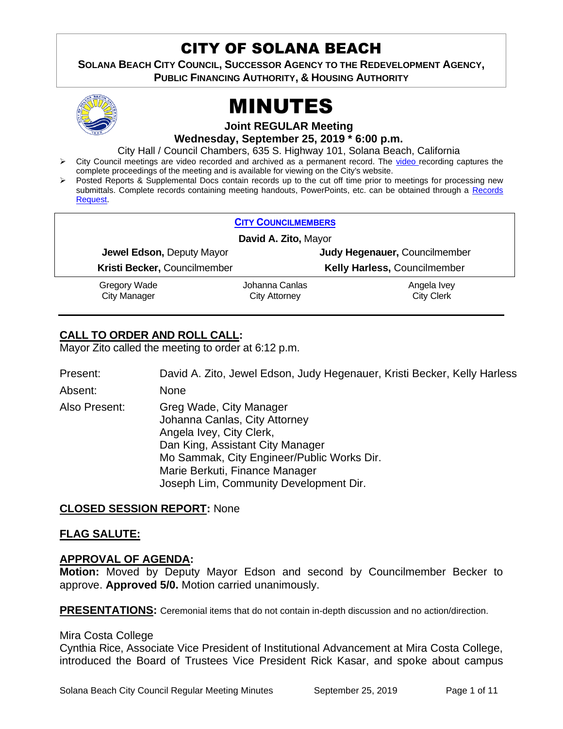## CITY OF SOLANA BEACH

**SOLANA BEACH CITY COUNCIL, SUCCESSOR AGENCY TO THE REDEVELOPMENT AGENCY, PUBLIC FINANCING AUTHORITY, & HOUSING AUTHORITY** 



# MINUTES

**Joint REGULAR Meeting**

**Wednesday, September 25, 2019 \* 6:00 p.m.** 

City Hall / Council Chambers, 635 S. Highway 101, Solana Beach, California

- ➢ City Council meetings are video recorded and archived as a permanent record. The [video r](https://solanabeach.12milesout.com/#page=1)ecording captures the complete proceedings of the meeting and is available for viewing on the City's website.
- Posted Reports & Supplemental Docs contain records up to the cut off time prior to meetings for processing new submittals. Complete records containing meeting handouts, PowerPoints, etc. can be obtained through a Records [Request.](http://www.ci.solana-beach.ca.us/index.asp?SEC=F5D45D10-70CE-4291-A27C-7BD633FC6742&Type=B_BASIC)

| <b>CITY COUNCILMEMBERS</b>          |                                        |                                  |
|-------------------------------------|----------------------------------------|----------------------------------|
| David A. Zito, Mayor                |                                        |                                  |
| Jewel Edson, Deputy Mayor           |                                        | Judy Hegenauer, Councilmember    |
| Kristi Becker, Councilmember        |                                        | Kelly Harless, Councilmember     |
| Gregory Wade<br><b>City Manager</b> | Johanna Canlas<br><b>City Attorney</b> | Angela Ivey<br><b>City Clerk</b> |

#### **CALL TO ORDER AND ROLL CALL:**

Mayor Zito called the meeting to order at 6:12 p.m.

Present: David A. Zito, Jewel Edson, Judy Hegenauer, Kristi Becker, Kelly Harless

Absent: None

Also Present: Greg Wade, City Manager Johanna Canlas, City Attorney Angela Ivey, City Clerk, Dan King, Assistant City Manager Mo Sammak, City Engineer/Public Works Dir. Marie Berkuti, Finance Manager Joseph Lim, Community Development Dir.

#### **CLOSED SESSION REPORT:** None

#### **FLAG SALUTE:**

#### **APPROVAL OF AGENDA:**

**Motion:** Moved by Deputy Mayor Edson and second by Councilmember Becker to approve. **Approved 5/0.** Motion carried unanimously.

**PRESENTATIONS:** Ceremonial items that do not contain in-depth discussion and no action/direction.

#### Mira Costa College

Cynthia Rice, Associate Vice President of Institutional Advancement at Mira Costa College, introduced the Board of Trustees Vice President Rick Kasar, and spoke about campus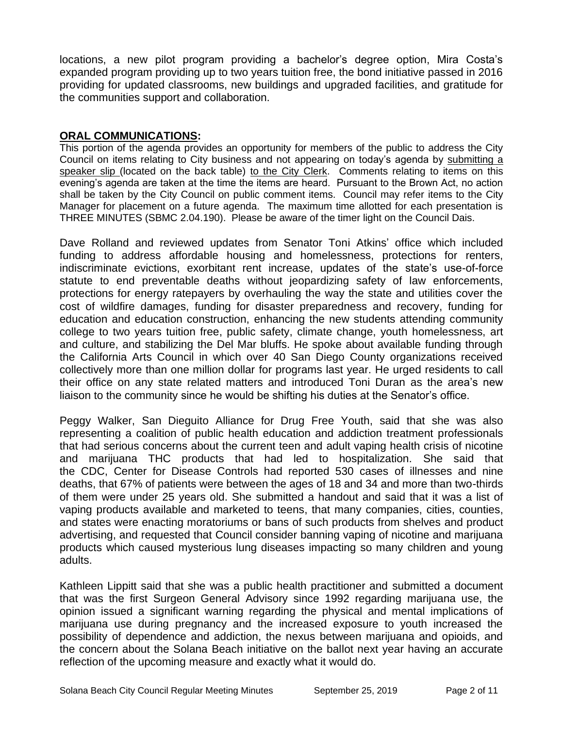locations, a new pilot program providing a bachelor's degree option, Mira Costa's expanded program providing up to two years tuition free, the bond initiative passed in 2016 providing for updated classrooms, new buildings and upgraded facilities, and gratitude for the communities support and collaboration.

#### **ORAL COMMUNICATIONS:**

This portion of the agenda provides an opportunity for members of the public to address the City Council on items relating to City business and not appearing on today's agenda by submitting a speaker slip (located on the back table) to the City Clerk. Comments relating to items on this evening's agenda are taken at the time the items are heard. Pursuant to the Brown Act, no action shall be taken by the City Council on public comment items. Council may refer items to the City Manager for placement on a future agenda. The maximum time allotted for each presentation is THREE MINUTES (SBMC 2.04.190). Please be aware of the timer light on the Council Dais.

Dave Rolland and reviewed updates from Senator Toni Atkins' office which included funding to address affordable housing and homelessness, protections for renters, indiscriminate evictions, exorbitant rent increase, updates of the state's use-of-force statute to end preventable deaths without jeopardizing safety of law enforcements, protections for energy ratepayers by overhauling the way the state and utilities cover the cost of wildfire damages, funding for disaster preparedness and recovery, funding for education and education construction, enhancing the new students attending community college to two years tuition free, public safety, climate change, youth homelessness, art and culture, and stabilizing the Del Mar bluffs. He spoke about available funding through the California Arts Council in which over 40 San Diego County organizations received collectively more than one million dollar for programs last year. He urged residents to call their office on any state related matters and introduced Toni Duran as the area's new liaison to the community since he would be shifting his duties at the Senator's office.

Peggy Walker, San Dieguito Alliance for Drug Free Youth, said that she was also representing a coalition of public health education and addiction treatment professionals that had serious concerns about the current teen and adult vaping health crisis of nicotine and marijuana THC products that had led to hospitalization. She said that the CDC, Center for Disease Controls had reported 530 cases of illnesses and nine deaths, that 67% of patients were between the ages of 18 and 34 and more than two-thirds of them were under 25 years old. She submitted a handout and said that it was a list of vaping products available and marketed to teens, that many companies, cities, counties, and states were enacting moratoriums or bans of such products from shelves and product advertising, and requested that Council consider banning vaping of nicotine and marijuana products which caused mysterious lung diseases impacting so many children and young adults.

Kathleen Lippitt said that she was a public health practitioner and submitted a document that was the first Surgeon General Advisory since 1992 regarding marijuana use, the opinion issued a significant warning regarding the physical and mental implications of marijuana use during pregnancy and the increased exposure to youth increased the possibility of dependence and addiction, the nexus between marijuana and opioids, and the concern about the Solana Beach initiative on the ballot next year having an accurate reflection of the upcoming measure and exactly what it would do.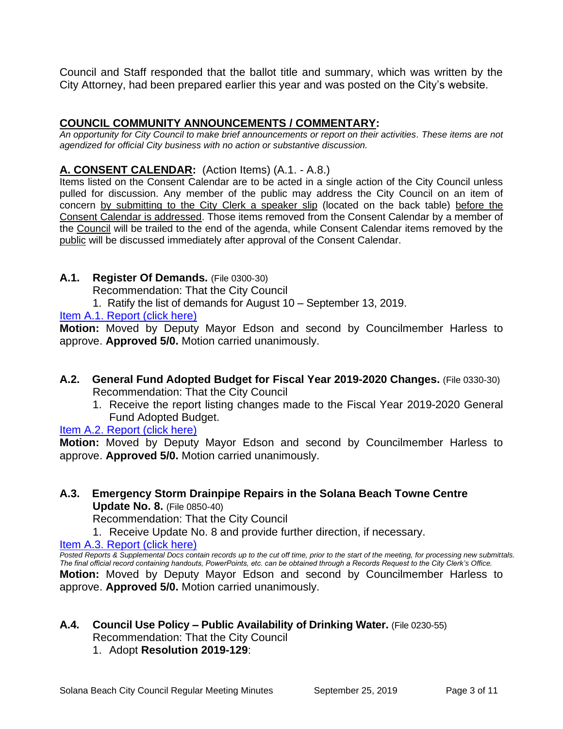Council and Staff responded that the ballot title and summary, which was written by the City Attorney, had been prepared earlier this year and was posted on the City's website.

#### **COUNCIL COMMUNITY ANNOUNCEMENTS / COMMENTARY:**

*An opportunity for City Council to make brief announcements or report on their activities. These items are not agendized for official City business with no action or substantive discussion.* 

#### **A. CONSENT CALENDAR:** (Action Items) (A.1. - A.8.)

Items listed on the Consent Calendar are to be acted in a single action of the City Council unless pulled for discussion. Any member of the public may address the City Council on an item of concern by submitting to the City Clerk a speaker slip (located on the back table) before the Consent Calendar is addressed. Those items removed from the Consent Calendar by a member of the Council will be trailed to the end of the agenda, while Consent Calendar items removed by the public will be discussed immediately after approval of the Consent Calendar.

#### **A.1. Register Of Demands.** (File 0300-30)

Recommendation: That the City Council

1. Ratify the list of demands for August 10 – September 13, 2019.

#### [Item A.1. Report \(click here\)](https://solanabeach.govoffice3.com/vertical/Sites/%7B840804C2-F869-4904-9AE3-720581350CE7%7D/uploads/Item_A.1._Report_(click_here)_09-25-19_-_O.pdf)

**Motion:** Moved by Deputy Mayor Edson and second by Councilmember Harless to approve. **Approved 5/0.** Motion carried unanimously.

- **A.2. General Fund Adopted Budget for Fiscal Year 2019-2020 Changes.** (File 0330-30) Recommendation: That the City Council
	- 1. Receive the report listing changes made to the Fiscal Year 2019-2020 General Fund Adopted Budget.

#### [Item A.2. Report \(click here\)](https://solanabeach.govoffice3.com/vertical/Sites/%7B840804C2-F869-4904-9AE3-720581350CE7%7D/uploads/Item_A.2._Report_(click_here)_09-25-19_-_O.pdf)

**Motion:** Moved by Deputy Mayor Edson and second by Councilmember Harless to approve. **Approved 5/0.** Motion carried unanimously.

#### **A.3. Emergency Storm Drainpipe Repairs in the Solana Beach Towne Centre Update No. 8.** (File 0850-40)

Recommendation: That the City Council

1. Receive Update No. 8 and provide further direction, if necessary.

Item A.3. Report (click here)

*Posted Reports & Supplemental Docs contain records up to the cut off time, prior to the start of the meeting, for processing new submittals. The final official record containing handouts, PowerPoints, etc. can be obtained through a Records Request to the City Clerk's Office.* **Motion:** Moved by Deputy Mayor Edson and second by Councilmember Harless to approve. **Approved 5/0.** Motion carried unanimously.

## **A.4. Council Use Policy – Public Availability of Drinking Water.** (File 0230-55) Recommendation: That the City Council

#### 1. Adopt **Resolution 2019-129**: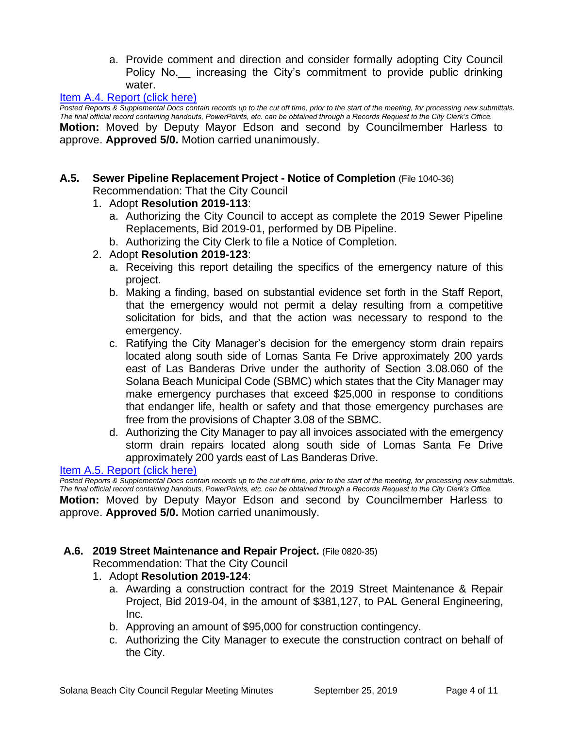a. Provide comment and direction and consider formally adopting City Council Policy No. increasing the City's commitment to provide public drinking water.

#### [Item A.4. Report \(click here\)](https://solanabeach.govoffice3.com/vertical/Sites/%7B840804C2-F869-4904-9AE3-720581350CE7%7D/uploads/Item_A.4._Report_(click_here)_09-25-19_-_O.pdf)

*Posted Reports & Supplemental Docs contain records up to the cut off time, prior to the start of the meeting, for processing new submittals. The final official record containing handouts, PowerPoints, etc. can be obtained through a Records Request to the City Clerk's Office.* **Motion:** Moved by Deputy Mayor Edson and second by Councilmember Harless to approve. **Approved 5/0.** Motion carried unanimously.

#### **A.5. Sewer Pipeline Replacement Project - Notice of Completion** (File 1040-36) Recommendation: That the City Council

#### 1. Adopt **Resolution 2019-113**:

- a. Authorizing the City Council to accept as complete the 2019 Sewer Pipeline Replacements, Bid 2019-01, performed by DB Pipeline.
- b. Authorizing the City Clerk to file a Notice of Completion.

#### 2. Adopt **Resolution 2019-123**:

- a. Receiving this report detailing the specifics of the emergency nature of this project.
- b. Making a finding, based on substantial evidence set forth in the Staff Report, that the emergency would not permit a delay resulting from a competitive solicitation for bids, and that the action was necessary to respond to the emergency.
- c. Ratifying the City Manager's decision for the emergency storm drain repairs located along south side of Lomas Santa Fe Drive approximately 200 yards east of Las Banderas Drive under the authority of Section 3.08.060 of the Solana Beach Municipal Code (SBMC) which states that the City Manager may make emergency purchases that exceed \$25,000 in response to conditions that endanger life, health or safety and that those emergency purchases are free from the provisions of Chapter 3.08 of the SBMC.
- d. Authorizing the City Manager to pay all invoices associated with the emergency storm drain repairs located along south side of Lomas Santa Fe Drive approximately 200 yards east of Las Banderas Drive.

#### [Item A.5. Report \(click here\)](https://solanabeach.govoffice3.com/vertical/Sites/%7B840804C2-F869-4904-9AE3-720581350CE7%7D/uploads/Item_A.5._Report_(click_here)_09-25-19_-_O.pdf)

*Posted Reports & Supplemental Docs contain records up to the cut off time, prior to the start of the meeting, for processing new submittals. The final official record containing handouts, PowerPoints, etc. can be obtained through a Records Request to the City Clerk's Office.*

**Motion:** Moved by Deputy Mayor Edson and second by Councilmember Harless to approve. **Approved 5/0.** Motion carried unanimously.

#### **A.6. 2019 Street Maintenance and Repair Project.** (File 0820-35)

Recommendation: That the City Council

- 1. Adopt **Resolution 2019-124**:
	- a. Awarding a construction contract for the 2019 Street Maintenance & Repair Project, Bid 2019-04, in the amount of \$381,127, to PAL General Engineering, Inc.
	- b. Approving an amount of \$95,000 for construction contingency.
	- c. Authorizing the City Manager to execute the construction contract on behalf of the City.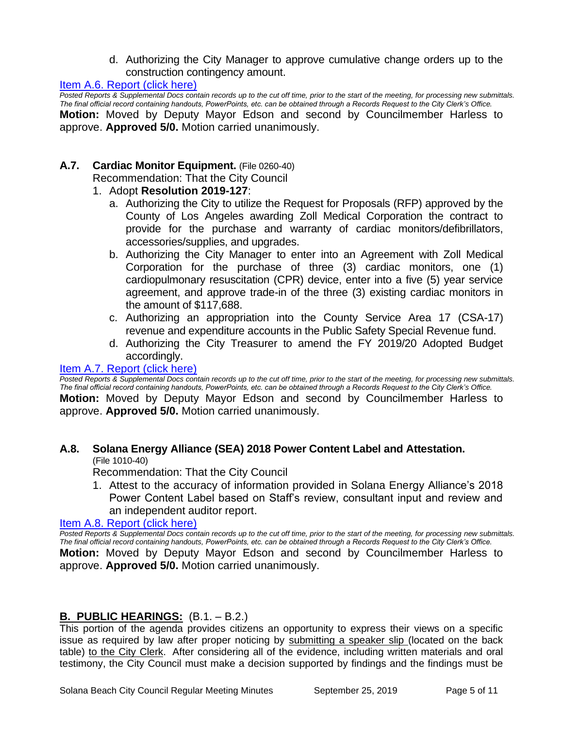d. Authorizing the City Manager to approve cumulative change orders up to the construction contingency amount.

[Item A.6. Report \(click here\)](https://solanabeach.govoffice3.com/vertical/Sites/%7B840804C2-F869-4904-9AE3-720581350CE7%7D/uploads/Item_A.6._Report_(click_here)_09-25-19_-_O.pdf)

*Posted Reports & Supplemental Docs contain records up to the cut off time, prior to the start of the meeting, for processing new submittals. The final official record containing handouts, PowerPoints, etc. can be obtained through a Records Request to the City Clerk's Office.* **Motion:** Moved by Deputy Mayor Edson and second by Councilmember Harless to approve. **Approved 5/0.** Motion carried unanimously.

#### **A.7. Cardiac Monitor Equipment.** (File 0260-40)

Recommendation: That the City Council

#### 1. Adopt **Resolution 2019-127**:

- a. Authorizing the City to utilize the Request for Proposals (RFP) approved by the County of Los Angeles awarding Zoll Medical Corporation the contract to provide for the purchase and warranty of cardiac monitors/defibrillators, accessories/supplies, and upgrades.
- b. Authorizing the City Manager to enter into an Agreement with Zoll Medical Corporation for the purchase of three (3) cardiac monitors, one (1) cardiopulmonary resuscitation (CPR) device, enter into a five (5) year service agreement, and approve trade-in of the three (3) existing cardiac monitors in the amount of \$117,688.
- c. Authorizing an appropriation into the County Service Area 17 (CSA-17) revenue and expenditure accounts in the Public Safety Special Revenue fund.
- d. Authorizing the City Treasurer to amend the FY 2019/20 Adopted Budget accordingly.

#### [Item A.7. Report \(click here\)](https://solanabeach.govoffice3.com/vertical/Sites/%7B840804C2-F869-4904-9AE3-720581350CE7%7D/uploads/Item_A.7._Report_(click_here)_09-25-19_-_O.pdf)

*Posted Reports & Supplemental Docs contain records up to the cut off time, prior to the start of the meeting, for processing new submittals. The final official record containing handouts, PowerPoints, etc. can be obtained through a Records Request to the City Clerk's Office.* **Motion:** Moved by Deputy Mayor Edson and second by Councilmember Harless to approve. **Approved 5/0.** Motion carried unanimously.

## **A.8. Solana Energy Alliance (SEA) 2018 Power Content Label and Attestation.**

(File 1010-40)

Recommendation: That the City Council

1. Attest to the accuracy of information provided in Solana Energy Alliance's 2018 Power Content Label based on Staff's review, consultant input and review and an independent auditor report.

#### [Item A.8. Report \(click here\)](https://solanabeach.govoffice3.com/vertical/Sites/%7B840804C2-F869-4904-9AE3-720581350CE7%7D/uploads/Item_A.8._Report_(click_here)_09-25-19_-_O.pdf)

*Posted Reports & Supplemental Docs contain records up to the cut off time, prior to the start of the meeting, for processing new submittals. The final official record containing handouts, PowerPoints, etc. can be obtained through a Records Request to the City Clerk's Office.* **Motion:** Moved by Deputy Mayor Edson and second by Councilmember Harless to approve. **Approved 5/0.** Motion carried unanimously.

#### **B. PUBLIC HEARINGS:** (B.1. – B.2.)

This portion of the agenda provides citizens an opportunity to express their views on a specific issue as required by law after proper noticing by submitting a speaker slip (located on the back table) to the City Clerk. After considering all of the evidence, including written materials and oral testimony, the City Council must make a decision supported by findings and the findings must be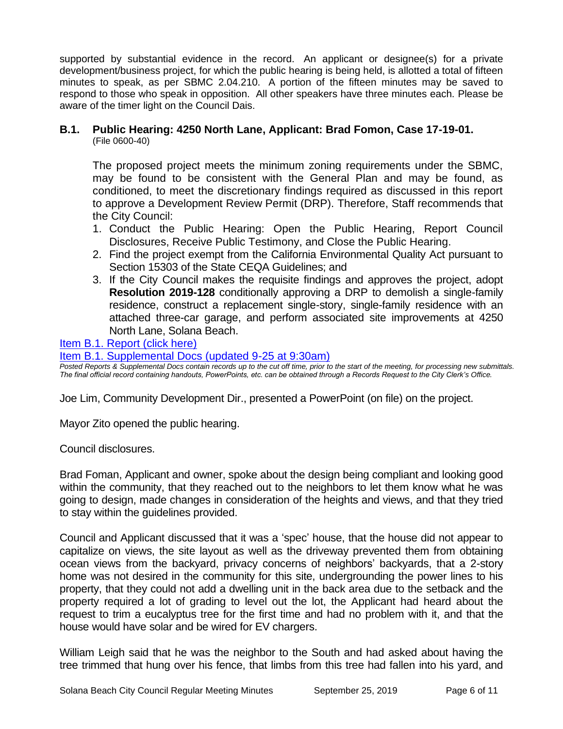supported by substantial evidence in the record. An applicant or designee(s) for a private development/business project, for which the public hearing is being held, is allotted a total of fifteen minutes to speak, as per SBMC 2.04.210. A portion of the fifteen minutes may be saved to respond to those who speak in opposition. All other speakers have three minutes each. Please be aware of the timer light on the Council Dais.

#### **B.1. Public Hearing: 4250 North Lane, Applicant: Brad Fomon, Case 17-19-01.** (File 0600-40)

The proposed project meets the minimum zoning requirements under the SBMC, may be found to be consistent with the General Plan and may be found, as conditioned, to meet the discretionary findings required as discussed in this report to approve a Development Review Permit (DRP). Therefore, Staff recommends that the City Council:

- 1. Conduct the Public Hearing: Open the Public Hearing, Report Council Disclosures, Receive Public Testimony, and Close the Public Hearing.
- 2. Find the project exempt from the California Environmental Quality Act pursuant to Section 15303 of the State CEQA Guidelines; and
- 3. If the City Council makes the requisite findings and approves the project, adopt **Resolution 2019-128** conditionally approving a DRP to demolish a single-family residence, construct a replacement single-story, single-family residence with an attached three-car garage, and perform associated site improvements at 4250 North Lane, Solana Beach.

#### [Item B.1. Report \(click here\)](https://solanabeach.govoffice3.com/vertical/Sites/%7B840804C2-F869-4904-9AE3-720581350CE7%7D/uploads/Item_B.1._Report_(click_here)_09-25-19_-_O.pdf)

[Item B.1. Supplemental Docs \(updated 9-25 at 9:30am\)](https://solanabeach.govoffice3.com/vertical/Sites/%7B840804C2-F869-4904-9AE3-720581350CE7%7D/uploads/Item_B.1._Supplemental_Docs_-_9-25_(930am)_-_O.pdf)

*Posted Reports & Supplemental Docs contain records up to the cut off time, prior to the start of the meeting, for processing new submittals. The final official record containing handouts, PowerPoints, etc. can be obtained through a Records Request to the City Clerk's Office.*

Joe Lim, Community Development Dir., presented a PowerPoint (on file) on the project.

Mayor Zito opened the public hearing.

Council disclosures.

Brad Foman, Applicant and owner, spoke about the design being compliant and looking good within the community, that they reached out to the neighbors to let them know what he was going to design, made changes in consideration of the heights and views, and that they tried to stay within the guidelines provided.

Council and Applicant discussed that it was a 'spec' house, that the house did not appear to capitalize on views, the site layout as well as the driveway prevented them from obtaining ocean views from the backyard, privacy concerns of neighbors' backyards, that a 2-story home was not desired in the community for this site, undergrounding the power lines to his property, that they could not add a dwelling unit in the back area due to the setback and the property required a lot of grading to level out the lot, the Applicant had heard about the request to trim a eucalyptus tree for the first time and had no problem with it, and that the house would have solar and be wired for EV chargers.

William Leigh said that he was the neighbor to the South and had asked about having the tree trimmed that hung over his fence, that limbs from this tree had fallen into his yard, and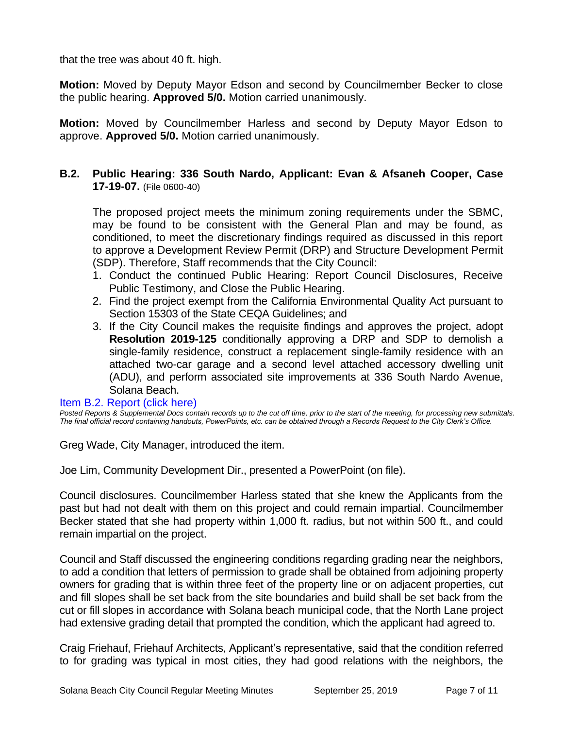that the tree was about 40 ft. high.

**Motion:** Moved by Deputy Mayor Edson and second by Councilmember Becker to close the public hearing. **Approved 5/0.** Motion carried unanimously.

**Motion:** Moved by Councilmember Harless and second by Deputy Mayor Edson to approve. **Approved 5/0.** Motion carried unanimously.

#### **B.2. Public Hearing: 336 South Nardo, Applicant: Evan & Afsaneh Cooper, Case 17-19-07.** (File 0600-40)

The proposed project meets the minimum zoning requirements under the SBMC, may be found to be consistent with the General Plan and may be found, as conditioned, to meet the discretionary findings required as discussed in this report to approve a Development Review Permit (DRP) and Structure Development Permit (SDP). Therefore, Staff recommends that the City Council:

- 1. Conduct the continued Public Hearing: Report Council Disclosures, Receive Public Testimony, and Close the Public Hearing.
- 2. Find the project exempt from the California Environmental Quality Act pursuant to Section 15303 of the State CEQA Guidelines; and
- 3. If the City Council makes the requisite findings and approves the project, adopt **Resolution 2019-125** conditionally approving a DRP and SDP to demolish a single-family residence, construct a replacement single-family residence with an attached two-car garage and a second level attached accessory dwelling unit (ADU), and perform associated site improvements at 336 South Nardo Avenue, Solana Beach.

#### [Item B.2. Report \(click here\)](https://solanabeach.govoffice3.com/vertical/Sites/%7B840804C2-F869-4904-9AE3-720581350CE7%7D/uploads/Item_B.2._Report_(click_here)_09-25-19_-_O.pdf)

*Posted Reports & Supplemental Docs contain records up to the cut off time, prior to the start of the meeting, for processing new submittals. The final official record containing handouts, PowerPoints, etc. can be obtained through a Records Request to the City Clerk's Office.*

Greg Wade, City Manager, introduced the item.

Joe Lim, Community Development Dir., presented a PowerPoint (on file).

Council disclosures. Councilmember Harless stated that she knew the Applicants from the past but had not dealt with them on this project and could remain impartial. Councilmember Becker stated that she had property within 1,000 ft. radius, but not within 500 ft., and could remain impartial on the project.

Council and Staff discussed the engineering conditions regarding grading near the neighbors, to add a condition that letters of permission to grade shall be obtained from adjoining property owners for grading that is within three feet of the property line or on adjacent properties, cut and fill slopes shall be set back from the site boundaries and build shall be set back from the cut or fill slopes in accordance with Solana beach municipal code, that the North Lane project had extensive grading detail that prompted the condition, which the applicant had agreed to.

Craig Friehauf, Friehauf Architects, Applicant's representative, said that the condition referred to for grading was typical in most cities, they had good relations with the neighbors, the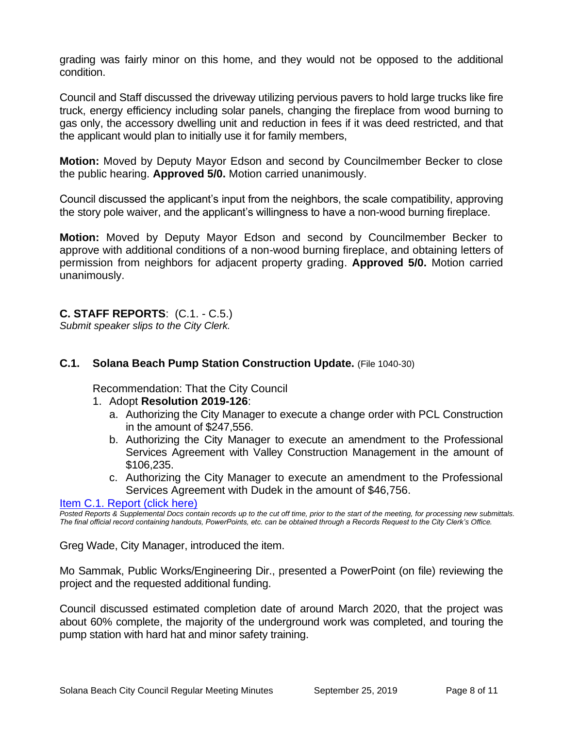grading was fairly minor on this home, and they would not be opposed to the additional condition.

Council and Staff discussed the driveway utilizing pervious pavers to hold large trucks like fire truck, energy efficiency including solar panels, changing the fireplace from wood burning to gas only, the accessory dwelling unit and reduction in fees if it was deed restricted, and that the applicant would plan to initially use it for family members,

**Motion:** Moved by Deputy Mayor Edson and second by Councilmember Becker to close the public hearing. **Approved 5/0.** Motion carried unanimously.

Council discussed the applicant's input from the neighbors, the scale compatibility, approving the story pole waiver, and the applicant's willingness to have a non-wood burning fireplace.

**Motion:** Moved by Deputy Mayor Edson and second by Councilmember Becker to approve with additional conditions of a non-wood burning fireplace, and obtaining letters of permission from neighbors for adjacent property grading. **Approved 5/0.** Motion carried unanimously.

#### **C. STAFF REPORTS**: (C.1. - C.5.)

*Submit speaker slips to the City Clerk.*

#### **C.1. Solana Beach Pump Station Construction Update.** (File 1040-30)

Recommendation: That the City Council

- 1. Adopt **Resolution 2019-126**:
	- a. Authorizing the City Manager to execute a change order with PCL Construction in the amount of \$247,556.
	- b. Authorizing the City Manager to execute an amendment to the Professional Services Agreement with Valley Construction Management in the amount of \$106,235.
	- c. Authorizing the City Manager to execute an amendment to the Professional Services Agreement with Dudek in the amount of \$46,756.

[Item C.1. Report \(click here\)](https://solanabeach.govoffice3.com/vertical/Sites/%7B840804C2-F869-4904-9AE3-720581350CE7%7D/uploads/Item_C.1._Report_(click_here)_09-25-19_-_O.pdf)

*Posted Reports & Supplemental Docs contain records up to the cut off time, prior to the start of the meeting, for processing new submittals. The final official record containing handouts, PowerPoints, etc. can be obtained through a Records Request to the City Clerk's Office.*

Greg Wade, City Manager, introduced the item.

Mo Sammak, Public Works/Engineering Dir., presented a PowerPoint (on file) reviewing the project and the requested additional funding.

Council discussed estimated completion date of around March 2020, that the project was about 60% complete, the majority of the underground work was completed, and touring the pump station with hard hat and minor safety training.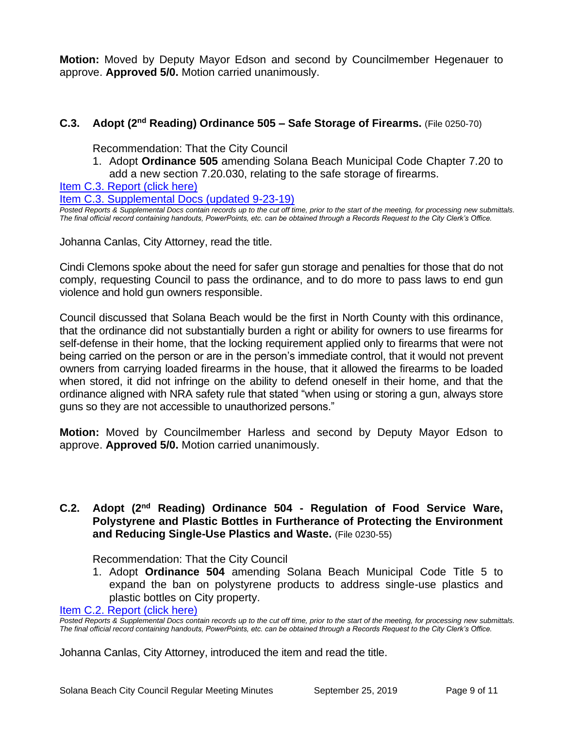**Motion:** Moved by Deputy Mayor Edson and second by Councilmember Hegenauer to approve. **Approved 5/0.** Motion carried unanimously.

#### **C.3.** Adopt (2<sup>nd</sup> Reading) Ordinance 505 – Safe Storage of Firearms. (File 0250-70)

Recommendation: That the City Council

1. Adopt **Ordinance 505** amending Solana Beach Municipal Code Chapter 7.20 to add a new section 7.20.030, relating to the safe storage of firearms.

[Item C.3. Report \(click here\)](https://solanabeach.govoffice3.com/vertical/Sites/%7B840804C2-F869-4904-9AE3-720581350CE7%7D/uploads/Item_C.3._Report_(click_here)_09-25-19_-_O.pdf)

[Item C.3. Supplemental Docs \(updated 9-23-19\)](https://solanabeach.govoffice3.com/vertical/Sites/%7B840804C2-F869-4904-9AE3-720581350CE7%7D/uploads/Item_C.3_Supplemental_Docs_(9-23)_-_O.pdf)

*Posted Reports & Supplemental Docs contain records up to the cut off time, prior to the start of the meeting, for processing new submittals. The final official record containing handouts, PowerPoints, etc. can be obtained through a Records Request to the City Clerk's Office.*

Johanna Canlas, City Attorney, read the title.

Cindi Clemons spoke about the need for safer gun storage and penalties for those that do not comply, requesting Council to pass the ordinance, and to do more to pass laws to end gun violence and hold gun owners responsible.

Council discussed that Solana Beach would be the first in North County with this ordinance, that the ordinance did not substantially burden a right or ability for owners to use firearms for self-defense in their home, that the locking requirement applied only to firearms that were not being carried on the person or are in the person's immediate control, that it would not prevent owners from carrying loaded firearms in the house, that it allowed the firearms to be loaded when stored, it did not infringe on the ability to defend oneself in their home, and that the ordinance aligned with NRA safety rule that stated "when using or storing a gun, always store guns so they are not accessible to unauthorized persons."

**Motion:** Moved by Councilmember Harless and second by Deputy Mayor Edson to approve. **Approved 5/0.** Motion carried unanimously.

#### **C.2.** Adopt (2<sup>nd</sup> Reading) Ordinance 504 - Regulation of Food Service Ware, **Polystyrene and Plastic Bottles in Furtherance of Protecting the Environment and Reducing Single-Use Plastics and Waste.** (File 0230-55)

Recommendation: That the City Council

1. Adopt **Ordinance 504** amending Solana Beach Municipal Code Title 5 to expand the ban on polystyrene products to address single-use plastics and plastic bottles on City property.

[Item C.2. Report \(click here\)](https://solanabeach.govoffice3.com/vertical/Sites/%7B840804C2-F869-4904-9AE3-720581350CE7%7D/uploads/Item_C.2._Report_(click_here)_09-25-19_-_O.pdf)

*Posted Reports & Supplemental Docs contain records up to the cut off time, prior to the start of the meeting, for processing new submittals. The final official record containing handouts, PowerPoints, etc. can be obtained through a Records Request to the City Clerk's Office.*

Johanna Canlas, City Attorney, introduced the item and read the title.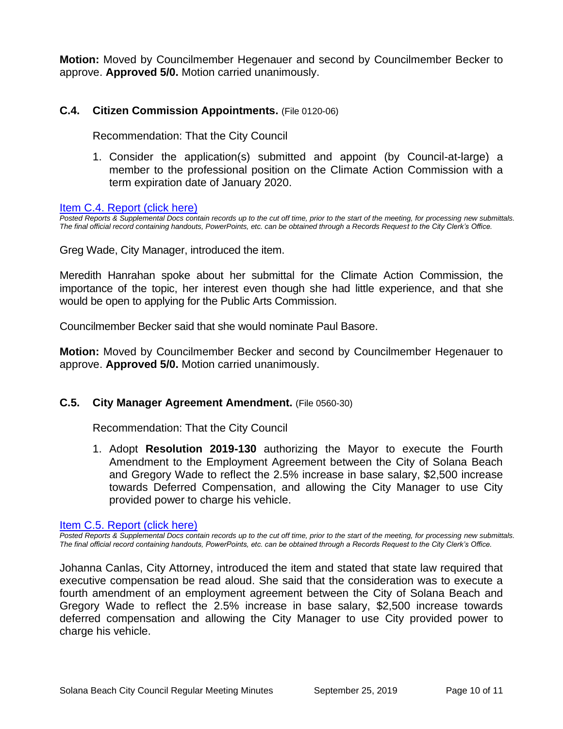**Motion:** Moved by Councilmember Hegenauer and second by Councilmember Becker to approve. **Approved 5/0.** Motion carried unanimously.

#### **C.4. Citizen Commission Appointments.** (File 0120-06)

Recommendation: That the City Council

1. Consider the application(s) submitted and appoint (by Council-at-large) a member to the professional position on the Climate Action Commission with a term expiration date of January 2020.

[Item C.4. Report \(click here\)](https://solanabeach.govoffice3.com/vertical/Sites/%7B840804C2-F869-4904-9AE3-720581350CE7%7D/uploads/Item_C.4._Report_(click_here)_09-25-19_-_O.pdf)

*Posted Reports & Supplemental Docs contain records up to the cut off time, prior to the start of the meeting, for processing new submittals. The final official record containing handouts, PowerPoints, etc. can be obtained through a Records Request to the City Clerk's Office.*

Greg Wade, City Manager, introduced the item.

Meredith Hanrahan spoke about her submittal for the Climate Action Commission, the importance of the topic, her interest even though she had little experience, and that she would be open to applying for the Public Arts Commission.

Councilmember Becker said that she would nominate Paul Basore.

**Motion:** Moved by Councilmember Becker and second by Councilmember Hegenauer to approve. **Approved 5/0.** Motion carried unanimously.

#### **C.5. City Manager Agreement Amendment.** (File 0560-30)

Recommendation: That the City Council

1. Adopt **Resolution 2019-130** authorizing the Mayor to execute the Fourth Amendment to the Employment Agreement between the City of Solana Beach and Gregory Wade to reflect the 2.5% increase in base salary, \$2,500 increase towards Deferred Compensation, and allowing the City Manager to use City provided power to charge his vehicle.

[Item C.5. Report \(click here\)](https://solanabeach.govoffice3.com/vertical/Sites/%7B840804C2-F869-4904-9AE3-720581350CE7%7D/uploads/Item_C.5._Report_(click_here)_09-25-19_-_O.pdf)

*Posted Reports & Supplemental Docs contain records up to the cut off time, prior to the start of the meeting, for processing new submittals. The final official record containing handouts, PowerPoints, etc. can be obtained through a Records Request to the City Clerk's Office.*

Johanna Canlas, City Attorney, introduced the item and stated that state law required that executive compensation be read aloud. She said that the consideration was to execute a fourth amendment of an employment agreement between the City of Solana Beach and Gregory Wade to reflect the 2.5% increase in base salary, \$2,500 increase towards deferred compensation and allowing the City Manager to use City provided power to charge his vehicle.